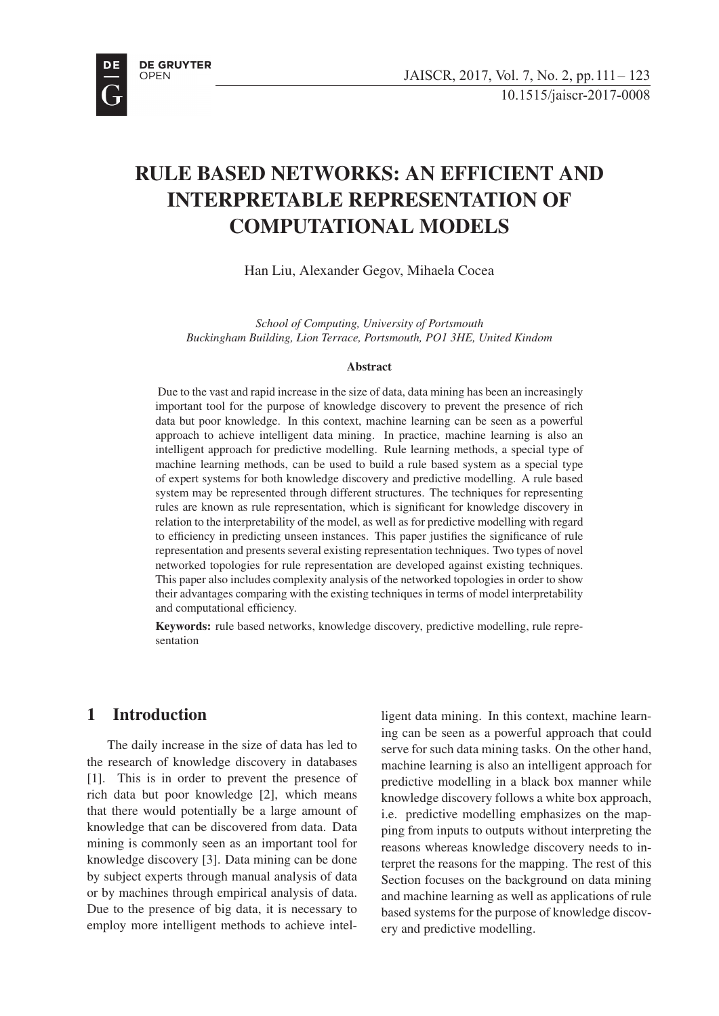

# RULE BASED NETWORKS: AN EFFICIENT AND INTERPRETABLE REPRESENTATION OF COMPUTATIONAL MODELS

Han Liu, Alexander Gegov, Mihaela Cocea

*School of Computing, University of Portsmouth Buckingham Building, Lion Terrace, Portsmouth, PO1 3HE, United Kindom*

#### Abstract

Due to the vast and rapid increase in the size of data, data mining has been an increasingly important tool for the purpose of knowledge discovery to prevent the presence of rich data but poor knowledge. In this context, machine learning can be seen as a powerful approach to achieve intelligent data mining. In practice, machine learning is also an intelligent approach for predictive modelling. Rule learning methods, a special type of machine learning methods, can be used to build a rule based system as a special type of expert systems for both knowledge discovery and predictive modelling. A rule based system may be represented through different structures. The techniques for representing rules are known as rule representation, which is significant for knowledge discovery in relation to the interpretability of the model, as well as for predictive modelling with regard to efficiency in predicting unseen instances. This paper justifies the significance of rule representation and presents several existing representation techniques. Two types of novel networked topologies for rule representation are developed against existing techniques. This paper also includes complexity analysis of the networked topologies in order to show their advantages comparing with the existing techniques in terms of model interpretability and computational efficiency.

Keywords: rule based networks, knowledge discovery, predictive modelling, rule representation

# 1 Introduction

The daily increase in the size of data has led to the research of knowledge discovery in databases [1]. This is in order to prevent the presence of rich data but poor knowledge [2], which means that there would potentially be a large amount of knowledge that can be discovered from data. Data mining is commonly seen as an important tool for knowledge discovery [3]. Data mining can be done by subject experts through manual analysis of data or by machines through empirical analysis of data. Due to the presence of big data, it is necessary to employ more intelligent methods to achieve intelligent data mining. In this context, machine learning can be seen as a powerful approach that could serve for such data mining tasks. On the other hand, machine learning is also an intelligent approach for predictive modelling in a black box manner while knowledge discovery follows a white box approach, i.e. predictive modelling emphasizes on the mapping from inputs to outputs without interpreting the reasons whereas knowledge discovery needs to interpret the reasons for the mapping. The rest of this Section focuses on the background on data mining and machine learning as well as applications of rule based systems for the purpose of knowledge discovery and predictive modelling.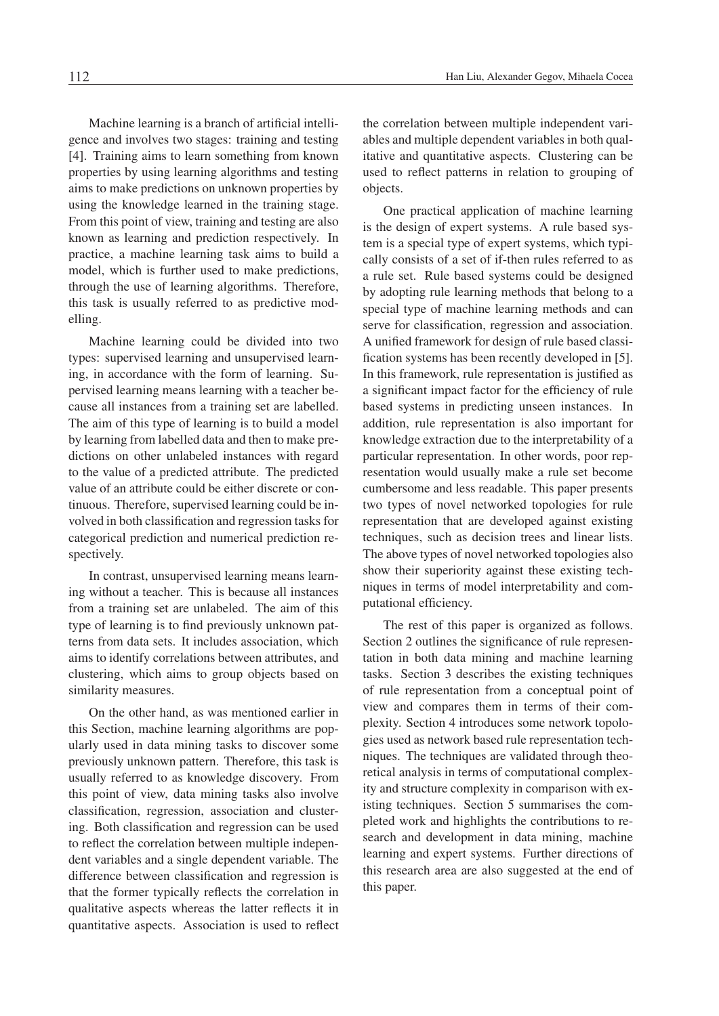Machine learning is a branch of artificial intelligence and involves two stages: training and testing [4]. Training aims to learn something from known properties by using learning algorithms and testing aims to make predictions on unknown properties by using the knowledge learned in the training stage. From this point of view, training and testing are also known as learning and prediction respectively. In practice, a machine learning task aims to build a model, which is further used to make predictions, through the use of learning algorithms. Therefore, this task is usually referred to as predictive modelling.

Machine learning could be divided into two types: supervised learning and unsupervised learning, in accordance with the form of learning. Supervised learning means learning with a teacher because all instances from a training set are labelled. The aim of this type of learning is to build a model by learning from labelled data and then to make predictions on other unlabeled instances with regard to the value of a predicted attribute. The predicted value of an attribute could be either discrete or continuous. Therefore, supervised learning could be involved in both classification and regression tasks for categorical prediction and numerical prediction respectively.

In contrast, unsupervised learning means learning without a teacher. This is because all instances from a training set are unlabeled. The aim of this type of learning is to find previously unknown patterns from data sets. It includes association, which aims to identify correlations between attributes, and clustering, which aims to group objects based on similarity measures.

On the other hand, as was mentioned earlier in this Section, machine learning algorithms are popularly used in data mining tasks to discover some previously unknown pattern. Therefore, this task is usually referred to as knowledge discovery. From this point of view, data mining tasks also involve classification, regression, association and clustering. Both classification and regression can be used to reflect the correlation between multiple independent variables and a single dependent variable. The difference between classification and regression is that the former typically reflects the correlation in qualitative aspects whereas the latter reflects it in quantitative aspects. Association is used to reflect the correlation between multiple independent variables and multiple dependent variables in both qualitative and quantitative aspects. Clustering can be used to reflect patterns in relation to grouping of objects.

One practical application of machine learning is the design of expert systems. A rule based system is a special type of expert systems, which typically consists of a set of if-then rules referred to as a rule set. Rule based systems could be designed by adopting rule learning methods that belong to a special type of machine learning methods and can serve for classification, regression and association. A unified framework for design of rule based classification systems has been recently developed in [5]. In this framework, rule representation is justified as a significant impact factor for the efficiency of rule based systems in predicting unseen instances. In addition, rule representation is also important for knowledge extraction due to the interpretability of a particular representation. In other words, poor representation would usually make a rule set become cumbersome and less readable. This paper presents two types of novel networked topologies for rule representation that are developed against existing techniques, such as decision trees and linear lists. The above types of novel networked topologies also show their superiority against these existing techniques in terms of model interpretability and computational efficiency.

The rest of this paper is organized as follows. Section 2 outlines the significance of rule representation in both data mining and machine learning tasks. Section 3 describes the existing techniques of rule representation from a conceptual point of view and compares them in terms of their complexity. Section 4 introduces some network topologies used as network based rule representation techniques. The techniques are validated through theoretical analysis in terms of computational complexity and structure complexity in comparison with existing techniques. Section 5 summarises the completed work and highlights the contributions to research and development in data mining, machine learning and expert systems. Further directions of this research area are also suggested at the end of this paper.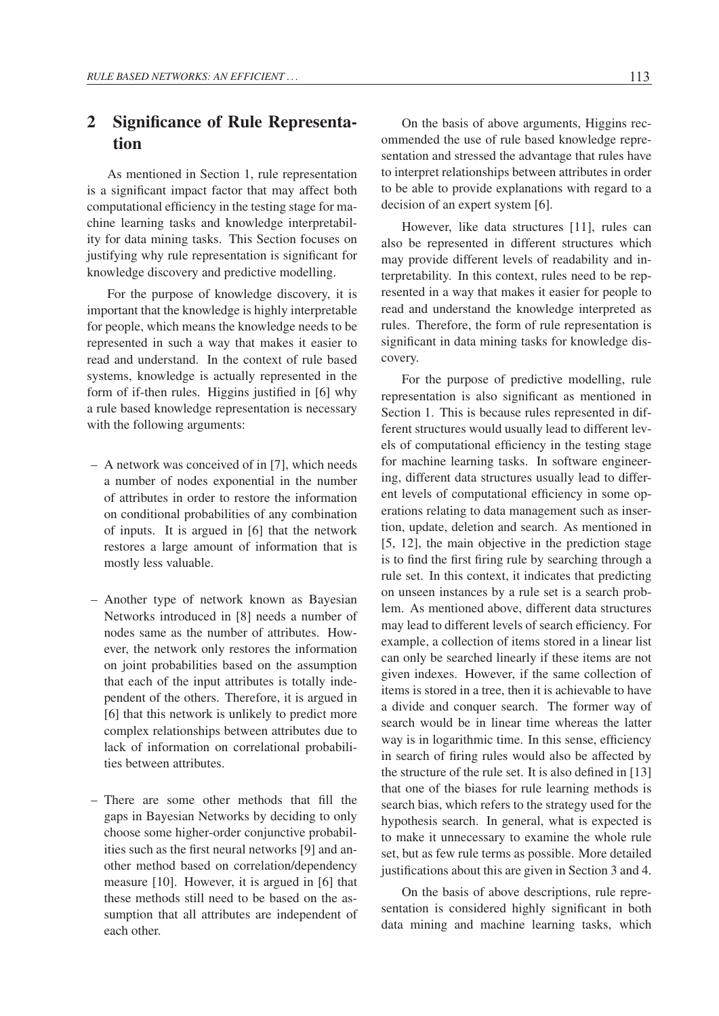# 2 Significance of Rule Representation

As mentioned in Section 1, rule representation is a significant impact factor that may affect both computational efficiency in the testing stage for machine learning tasks and knowledge interpretability for data mining tasks. This Section focuses on justifying why rule representation is significant for knowledge discovery and predictive modelling.

For the purpose of knowledge discovery, it is important that the knowledge is highly interpretable for people, which means the knowledge needs to be represented in such a way that makes it easier to read and understand. In the context of rule based systems, knowledge is actually represented in the form of if-then rules. Higgins justified in [6] why a rule based knowledge representation is necessary with the following arguments:

- A network was conceived of in [7], which needs a number of nodes exponential in the number of attributes in order to restore the information on conditional probabilities of any combination of inputs. It is argued in [6] that the network restores a large amount of information that is mostly less valuable.
- Another type of network known as Bayesian Networks introduced in [8] needs a number of nodes same as the number of attributes. However, the network only restores the information on joint probabilities based on the assumption that each of the input attributes is totally independent of the others. Therefore, it is argued in [6] that this network is unlikely to predict more complex relationships between attributes due to lack of information on correlational probabilities between attributes.
- There are some other methods that fill the gaps in Bayesian Networks by deciding to only choose some higher-order conjunctive probabilities such as the first neural networks [9] and another method based on correlation/dependency measure [10]. However, it is argued in [6] that these methods still need to be based on the assumption that all attributes are independent of each other.

On the basis of above arguments, Higgins recommended the use of rule based knowledge representation and stressed the advantage that rules have to interpret relationships between attributes in order to be able to provide explanations with regard to a decision of an expert system [6].

However, like data structures [11], rules can also be represented in different structures which may provide different levels of readability and interpretability. In this context, rules need to be represented in a way that makes it easier for people to read and understand the knowledge interpreted as rules. Therefore, the form of rule representation is significant in data mining tasks for knowledge discovery.

For the purpose of predictive modelling, rule representation is also significant as mentioned in Section 1. This is because rules represented in different structures would usually lead to different levels of computational efficiency in the testing stage for machine learning tasks. In software engineering, different data structures usually lead to different levels of computational efficiency in some operations relating to data management such as insertion, update, deletion and search. As mentioned in [5, 12], the main objective in the prediction stage is to find the first firing rule by searching through a rule set. In this context, it indicates that predicting on unseen instances by a rule set is a search problem. As mentioned above, different data structures may lead to different levels of search efficiency. For example, a collection of items stored in a linear list can only be searched linearly if these items are not given indexes. However, if the same collection of items is stored in a tree, then it is achievable to have a divide and conquer search. The former way of search would be in linear time whereas the latter way is in logarithmic time. In this sense, efficiency in search of firing rules would also be affected by the structure of the rule set. It is also defined in [13] that one of the biases for rule learning methods is search bias, which refers to the strategy used for the hypothesis search. In general, what is expected is to make it unnecessary to examine the whole rule set, but as few rule terms as possible. More detailed justifications about this are given in Section 3 and 4.

On the basis of above descriptions, rule representation is considered highly significant in both data mining and machine learning tasks, which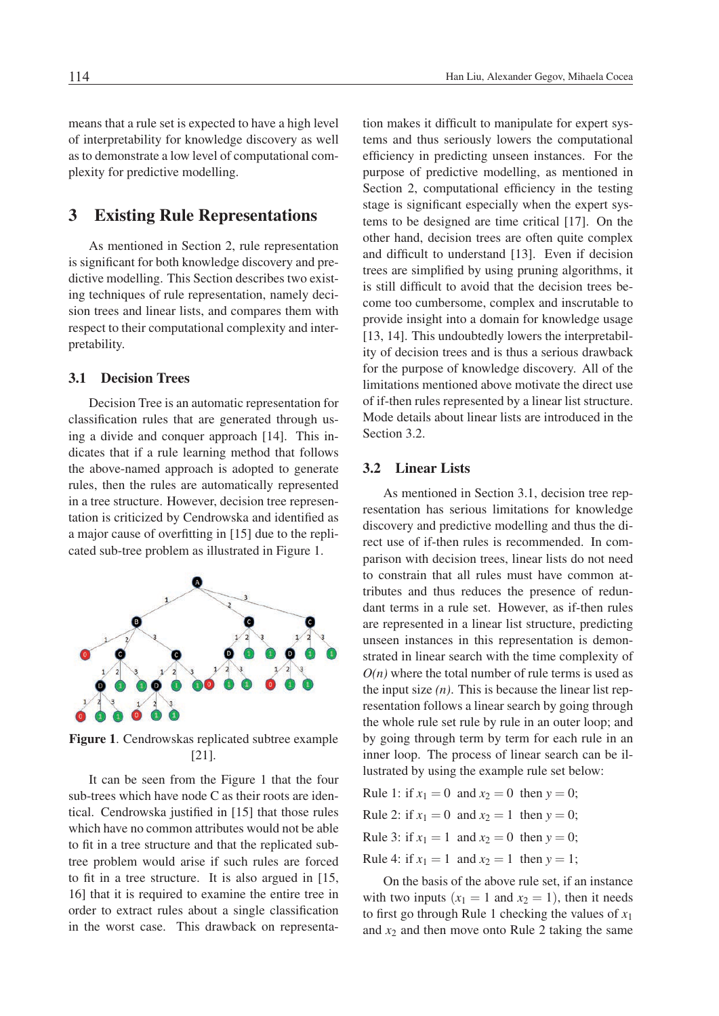means that a rule set is expected to have a high level of interpretability for knowledge discovery as well as to demonstrate a low level of computational complexity for predictive modelling.

### 3 Existing Rule Representations

As mentioned in Section 2, rule representation is significant for both knowledge discovery and predictive modelling. This Section describes two existing techniques of rule representation, namely decision trees and linear lists, and compares them with respect to their computational complexity and interpretability.

#### 3.1 Decision Trees

Decision Tree is an automatic representation for classification rules that are generated through using a divide and conquer approach [14]. This indicates that if a rule learning method that follows the above-named approach is adopted to generate rules, then the rules are automatically represented in a tree structure. However, decision tree representation is criticized by Cendrowska and identified as a major cause of overfitting in [15] due to the replicated sub-tree problem as illustrated in Figure 1.



Figure 1. Cendrowskas replicated subtree example [21].

It can be seen from the Figure 1 that the four sub-trees which have node C as their roots are identical. Cendrowska justified in [15] that those rules which have no common attributes would not be able to fit in a tree structure and that the replicated subtree problem would arise if such rules are forced to fit in a tree structure. It is also argued in [15, 16] that it is required to examine the entire tree in order to extract rules about a single classification in the worst case. This drawback on representation makes it difficult to manipulate for expert systems and thus seriously lowers the computational efficiency in predicting unseen instances. For the purpose of predictive modelling, as mentioned in Section 2, computational efficiency in the testing stage is significant especially when the expert systems to be designed are time critical [17]. On the other hand, decision trees are often quite complex and difficult to understand [13]. Even if decision trees are simplified by using pruning algorithms, it is still difficult to avoid that the decision trees become too cumbersome, complex and inscrutable to provide insight into a domain for knowledge usage [13, 14]. This undoubtedly lowers the interpretability of decision trees and is thus a serious drawback for the purpose of knowledge discovery. All of the limitations mentioned above motivate the direct use of if-then rules represented by a linear list structure. Mode details about linear lists are introduced in the Section 3.2.

### 3.2 Linear Lists

As mentioned in Section 3.1, decision tree representation has serious limitations for knowledge discovery and predictive modelling and thus the direct use of if-then rules is recommended. In comparison with decision trees, linear lists do not need to constrain that all rules must have common attributes and thus reduces the presence of redundant terms in a rule set. However, as if-then rules are represented in a linear list structure, predicting unseen instances in this representation is demonstrated in linear search with the time complexity of  $O(n)$  where the total number of rule terms is used as the input size  $(n)$ . This is because the linear list representation follows a linear search by going through the whole rule set rule by rule in an outer loop; and by going through term by term for each rule in an inner loop. The process of linear search can be illustrated by using the example rule set below:

| Rule 1: if $x_1 = 0$ and $x_2 = 0$ then $y = 0$ ; |  |
|---------------------------------------------------|--|
| Rule 2: if $x_1 = 0$ and $x_2 = 1$ then $y = 0$ ; |  |
| Rule 3: if $x_1 = 1$ and $x_2 = 0$ then $y = 0$ ; |  |
| Rule 4: if $x_1 = 1$ and $x_2 = 1$ then $y = 1$ ; |  |

On the basis of the above rule set, if an instance with two inputs  $(x_1 = 1 \text{ and } x_2 = 1)$ , then it needs to first go through Rule 1 checking the values of *x*<sup>1</sup> and  $x_2$  and then move onto Rule 2 taking the same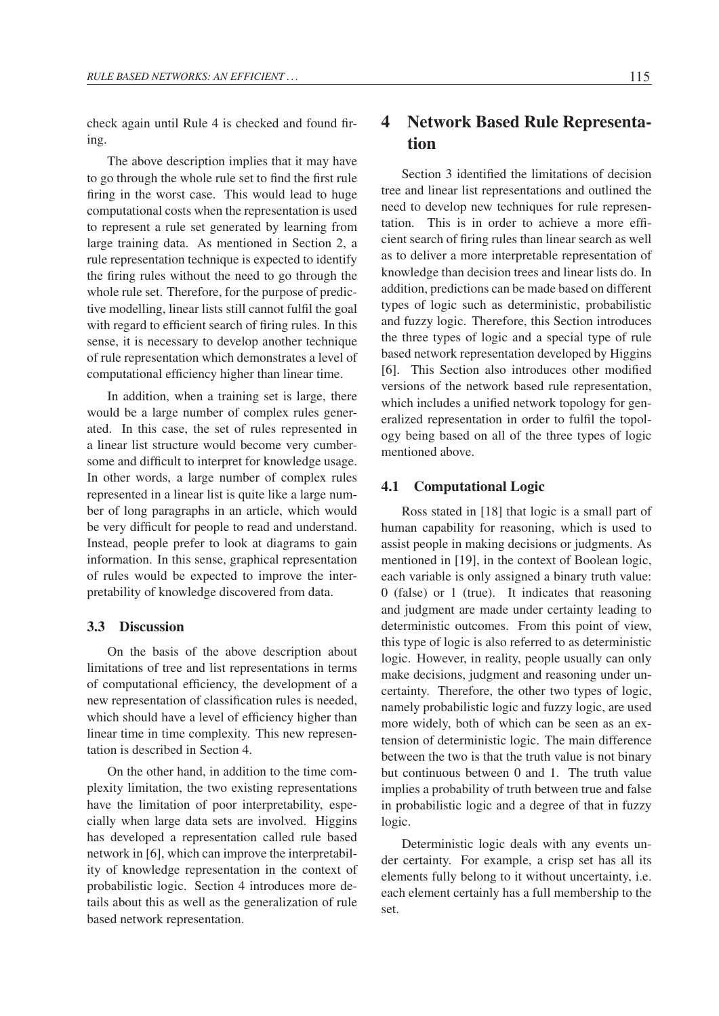check again until Rule 4 is checked and found firing.

The above description implies that it may have to go through the whole rule set to find the first rule firing in the worst case. This would lead to huge computational costs when the representation is used to represent a rule set generated by learning from large training data. As mentioned in Section 2, a rule representation technique is expected to identify the firing rules without the need to go through the whole rule set. Therefore, for the purpose of predictive modelling, linear lists still cannot fulfil the goal with regard to efficient search of firing rules. In this sense, it is necessary to develop another technique of rule representation which demonstrates a level of computational efficiency higher than linear time.

In addition, when a training set is large, there would be a large number of complex rules generated. In this case, the set of rules represented in a linear list structure would become very cumbersome and difficult to interpret for knowledge usage. In other words, a large number of complex rules represented in a linear list is quite like a large number of long paragraphs in an article, which would be very difficult for people to read and understand. Instead, people prefer to look at diagrams to gain information. In this sense, graphical representation of rules would be expected to improve the interpretability of knowledge discovered from data.

### 3.3 Discussion

On the basis of the above description about limitations of tree and list representations in terms of computational efficiency, the development of a new representation of classification rules is needed, which should have a level of efficiency higher than linear time in time complexity. This new representation is described in Section 4.

On the other hand, in addition to the time complexity limitation, the two existing representations have the limitation of poor interpretability, especially when large data sets are involved. Higgins has developed a representation called rule based network in [6], which can improve the interpretability of knowledge representation in the context of probabilistic logic. Section 4 introduces more details about this as well as the generalization of rule based network representation.

# 4 Network Based Rule Representation

Section 3 identified the limitations of decision tree and linear list representations and outlined the need to develop new techniques for rule representation. This is in order to achieve a more efficient search of firing rules than linear search as well as to deliver a more interpretable representation of knowledge than decision trees and linear lists do. In addition, predictions can be made based on different types of logic such as deterministic, probabilistic and fuzzy logic. Therefore, this Section introduces the three types of logic and a special type of rule based network representation developed by Higgins [6]. This Section also introduces other modified versions of the network based rule representation, which includes a unified network topology for generalized representation in order to fulfil the topology being based on all of the three types of logic mentioned above.

#### 4.1 Computational Logic

Ross stated in [18] that logic is a small part of human capability for reasoning, which is used to assist people in making decisions or judgments. As mentioned in [19], in the context of Boolean logic, each variable is only assigned a binary truth value: 0 (false) or 1 (true). It indicates that reasoning and judgment are made under certainty leading to deterministic outcomes. From this point of view, this type of logic is also referred to as deterministic logic. However, in reality, people usually can only make decisions, judgment and reasoning under uncertainty. Therefore, the other two types of logic, namely probabilistic logic and fuzzy logic, are used more widely, both of which can be seen as an extension of deterministic logic. The main difference between the two is that the truth value is not binary but continuous between 0 and 1. The truth value implies a probability of truth between true and false in probabilistic logic and a degree of that in fuzzy logic.

Deterministic logic deals with any events under certainty. For example, a crisp set has all its elements fully belong to it without uncertainty, i.e. each element certainly has a full membership to the set.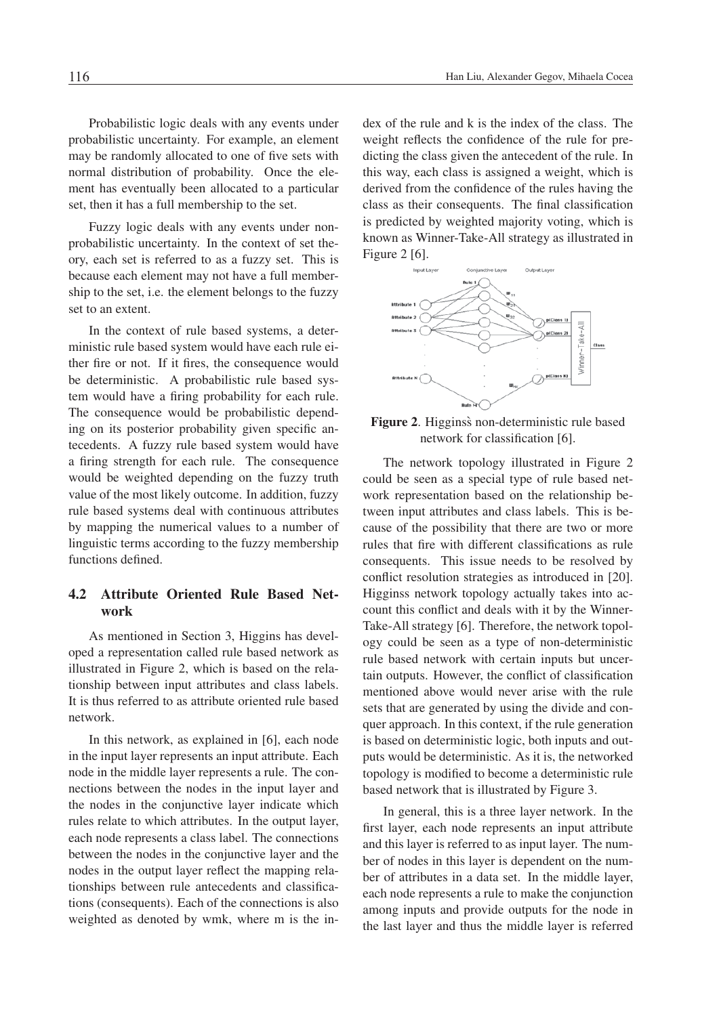Probabilistic logic deals with any events under probabilistic uncertainty. For example, an element may be randomly allocated to one of five sets with normal distribution of probability. Once the element has eventually been allocated to a particular set, then it has a full membership to the set.

Fuzzy logic deals with any events under nonprobabilistic uncertainty. In the context of set theory, each set is referred to as a fuzzy set. This is because each element may not have a full membership to the set, i.e. the element belongs to the fuzzy set to an extent.

In the context of rule based systems, a deterministic rule based system would have each rule either fire or not. If it fires, the consequence would be deterministic. A probabilistic rule based system would have a firing probability for each rule. The consequence would be probabilistic depending on its posterior probability given specific antecedents. A fuzzy rule based system would have a firing strength for each rule. The consequence would be weighted depending on the fuzzy truth value of the most likely outcome. In addition, fuzzy rule based systems deal with continuous attributes by mapping the numerical values to a number of linguistic terms according to the fuzzy membership functions defined.

### 4.2 Attribute Oriented Rule Based Network

As mentioned in Section 3, Higgins has developed a representation called rule based network as illustrated in Figure 2, which is based on the relationship between input attributes and class labels. It is thus referred to as attribute oriented rule based network.

In this network, as explained in [6], each node in the input layer represents an input attribute. Each node in the middle layer represents a rule. The connections between the nodes in the input layer and the nodes in the conjunctive layer indicate which rules relate to which attributes. In the output layer, each node represents a class label. The connections between the nodes in the conjunctive layer and the nodes in the output layer reflect the mapping relationships between rule antecedents and classifications (consequents). Each of the connections is also weighted as denoted by wmk, where m is the index of the rule and k is the index of the class. The weight reflects the confidence of the rule for predicting the class given the antecedent of the rule. In this way, each class is assigned a weight, which is derived from the confidence of the rules having the class as their consequents. The final classification is predicted by weighted majority voting, which is known as Winner-Take-All strategy as illustrated in Figure 2 [6].



### Figure 2. Higginss non-deterministic rule based network for classification [6].

The network topology illustrated in Figure 2 could be seen as a special type of rule based network representation based on the relationship between input attributes and class labels. This is because of the possibility that there are two or more rules that fire with different classifications as rule consequents. This issue needs to be resolved by conflict resolution strategies as introduced in [20]. Higginss network topology actually takes into account this conflict and deals with it by the Winner-Take-All strategy [6]. Therefore, the network topology could be seen as a type of non-deterministic rule based network with certain inputs but uncertain outputs. However, the conflict of classification mentioned above would never arise with the rule sets that are generated by using the divide and conquer approach. In this context, if the rule generation is based on deterministic logic, both inputs and outputs would be deterministic. As it is, the networked topology is modified to become a deterministic rule based network that is illustrated by Figure 3.

In general, this is a three layer network. In the first layer, each node represents an input attribute and this layer is referred to as input layer. The number of nodes in this layer is dependent on the number of attributes in a data set. In the middle layer, each node represents a rule to make the conjunction among inputs and provide outputs for the node in the last layer and thus the middle layer is referred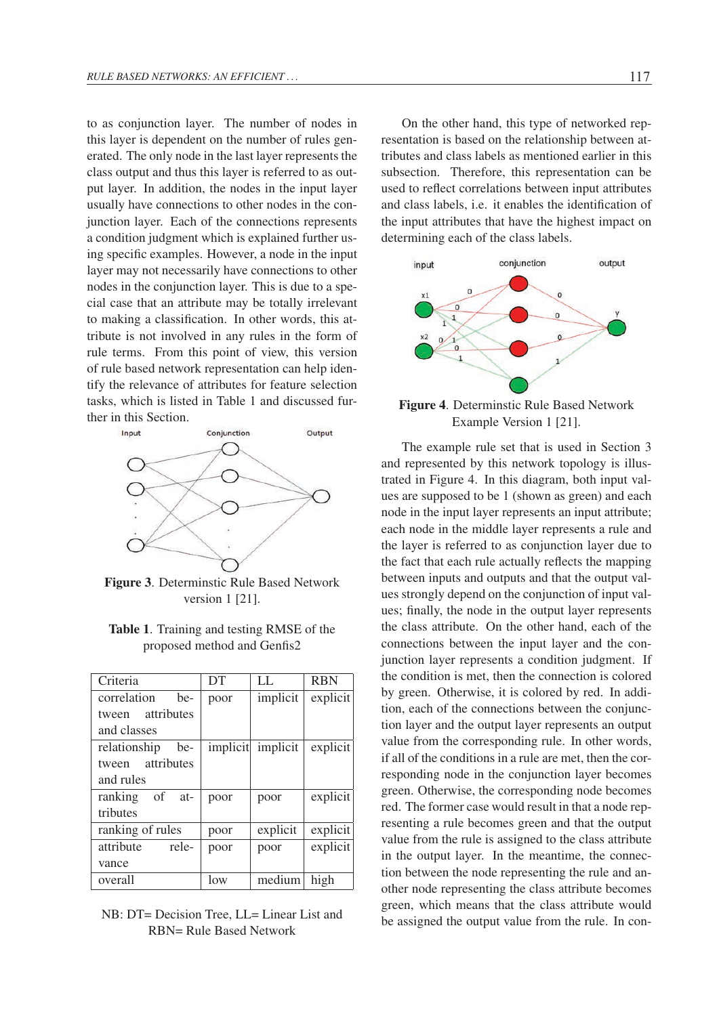to as conjunction layer. The number of nodes in this layer is dependent on the number of rules generated. The only node in the last layer represents the class output and thus this layer is referred to as output layer. In addition, the nodes in the input layer usually have connections to other nodes in the conjunction layer. Each of the connections represents a condition judgment which is explained further using specific examples. However, a node in the input layer may not necessarily have connections to other nodes in the conjunction layer. This is due to a special case that an attribute may be totally irrelevant to making a classification. In other words, this attribute is not involved in any rules in the form of rule terms. From this point of view, this version of rule based network representation can help identify the relevance of attributes for feature selection tasks, which is listed in Table 1 and discussed further in this Section.



Figure 3. Determinstic Rule Based Network version 1 [21].

|  | <b>Table 1.</b> Training and testing RMSE of the |  |
|--|--------------------------------------------------|--|
|  | proposed method and Genfis2                      |  |

| Criteria            | DT   | LL                | <b>RBN</b> |
|---------------------|------|-------------------|------------|
| correlation<br>be-  | poor | implicit          | explicit   |
| tween attributes    |      |                   |            |
| and classes         |      |                   |            |
| relationship<br>be- |      | implicit implicit | explicit   |
| tween attributes    |      |                   |            |
| and rules           |      |                   |            |
| ranking of at-      | poor | poor              | explicit   |
| tributes            |      |                   |            |
| ranking of rules    | poor | explicit          | explicit   |
| attribute<br>rele-  | poor | poor              | explicit   |
| vance               |      |                   |            |
| overall             | low  | medium            | high       |

NB: DT= Decision Tree, LL= Linear List and RBN= Rule Based Network

On the other hand, this type of networked representation is based on the relationship between attributes and class labels as mentioned earlier in this subsection. Therefore, this representation can be used to reflect correlations between input attributes and class labels, i.e. it enables the identification of the input attributes that have the highest impact on determining each of the class labels.



Figure 4. Determinstic Rule Based Network Example Version 1 [21].

The example rule set that is used in Section 3 and represented by this network topology is illustrated in Figure 4. In this diagram, both input values are supposed to be 1 (shown as green) and each node in the input layer represents an input attribute; each node in the middle layer represents a rule and the layer is referred to as conjunction layer due to the fact that each rule actually reflects the mapping between inputs and outputs and that the output values strongly depend on the conjunction of input values; finally, the node in the output layer represents the class attribute. On the other hand, each of the connections between the input layer and the conjunction layer represents a condition judgment. If the condition is met, then the connection is colored by green. Otherwise, it is colored by red. In addition, each of the connections between the conjunction layer and the output layer represents an output value from the corresponding rule. In other words, if all of the conditions in a rule are met, then the corresponding node in the conjunction layer becomes green. Otherwise, the corresponding node becomes red. The former case would result in that a node representing a rule becomes green and that the output value from the rule is assigned to the class attribute in the output layer. In the meantime, the connection between the node representing the rule and another node representing the class attribute becomes green, which means that the class attribute would be assigned the output value from the rule. In con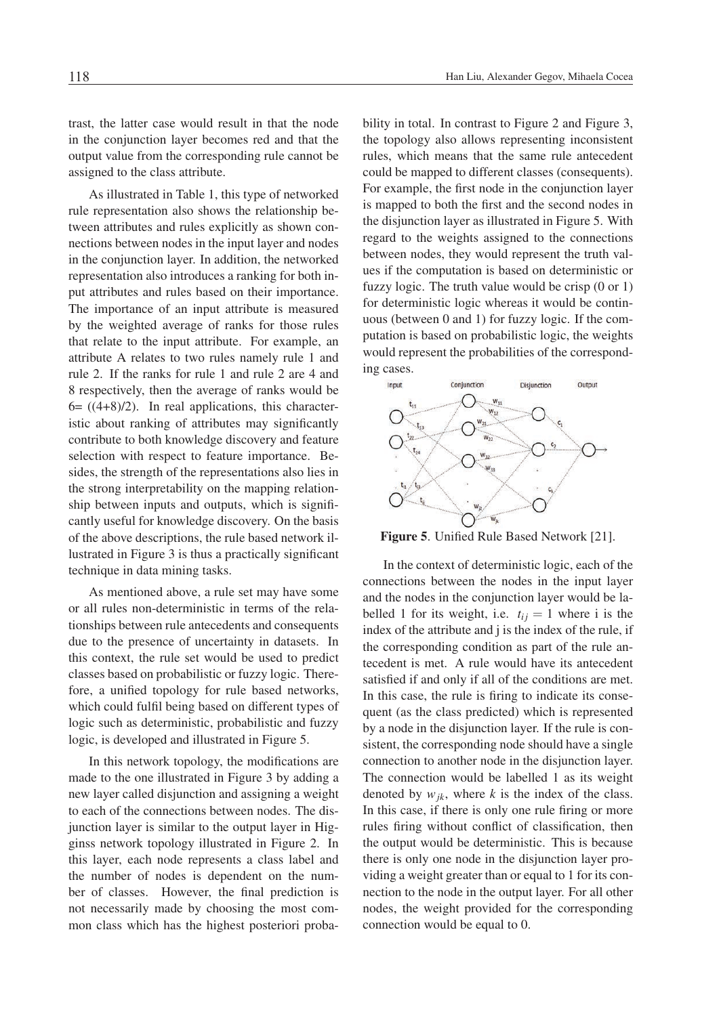trast, the latter case would result in that the node in the conjunction layer becomes red and that the output value from the corresponding rule cannot be assigned to the class attribute.

As illustrated in Table 1, this type of networked rule representation also shows the relationship between attributes and rules explicitly as shown connections between nodes in the input layer and nodes in the conjunction layer. In addition, the networked representation also introduces a ranking for both input attributes and rules based on their importance. The importance of an input attribute is measured by the weighted average of ranks for those rules that relate to the input attribute. For example, an attribute A relates to two rules namely rule 1 and rule 2. If the ranks for rule 1 and rule 2 are 4 and 8 respectively, then the average of ranks would be  $6=$  ((4+8)/2). In real applications, this characteristic about ranking of attributes may significantly contribute to both knowledge discovery and feature selection with respect to feature importance. Besides, the strength of the representations also lies in the strong interpretability on the mapping relationship between inputs and outputs, which is significantly useful for knowledge discovery. On the basis of the above descriptions, the rule based network illustrated in Figure 3 is thus a practically significant technique in data mining tasks.

As mentioned above, a rule set may have some or all rules non-deterministic in terms of the relationships between rule antecedents and consequents due to the presence of uncertainty in datasets. In this context, the rule set would be used to predict classes based on probabilistic or fuzzy logic. Therefore, a unified topology for rule based networks, which could fulfil being based on different types of logic such as deterministic, probabilistic and fuzzy logic, is developed and illustrated in Figure 5.

In this network topology, the modifications are made to the one illustrated in Figure 3 by adding a new layer called disjunction and assigning a weight to each of the connections between nodes. The disjunction layer is similar to the output layer in Higginss network topology illustrated in Figure 2. In this layer, each node represents a class label and the number of nodes is dependent on the number of classes. However, the final prediction is not necessarily made by choosing the most common class which has the highest posteriori probability in total. In contrast to Figure 2 and Figure 3, the topology also allows representing inconsistent rules, which means that the same rule antecedent could be mapped to different classes (consequents). For example, the first node in the conjunction layer is mapped to both the first and the second nodes in the disjunction layer as illustrated in Figure 5. With regard to the weights assigned to the connections between nodes, they would represent the truth values if the computation is based on deterministic or fuzzy logic. The truth value would be crisp (0 or 1) for deterministic logic whereas it would be continuous (between 0 and 1) for fuzzy logic. If the computation is based on probabilistic logic, the weights would represent the probabilities of the corresponding cases.



Figure 5. Unified Rule Based Network [21].

In the context of deterministic logic, each of the connections between the nodes in the input layer and the nodes in the conjunction layer would be labelled 1 for its weight, i.e.  $t_{ij} = 1$  where i is the index of the attribute and j is the index of the rule, if the corresponding condition as part of the rule antecedent is met. A rule would have its antecedent satisfied if and only if all of the conditions are met. In this case, the rule is firing to indicate its consequent (as the class predicted) which is represented by a node in the disjunction layer. If the rule is consistent, the corresponding node should have a single connection to another node in the disjunction layer. The connection would be labelled 1 as its weight denoted by  $w_{ik}$ , where  $k$  is the index of the class. In this case, if there is only one rule firing or more rules firing without conflict of classification, then the output would be deterministic. This is because there is only one node in the disjunction layer providing a weight greater than or equal to 1 for its connection to the node in the output layer. For all other nodes, the weight provided for the corresponding connection would be equal to 0.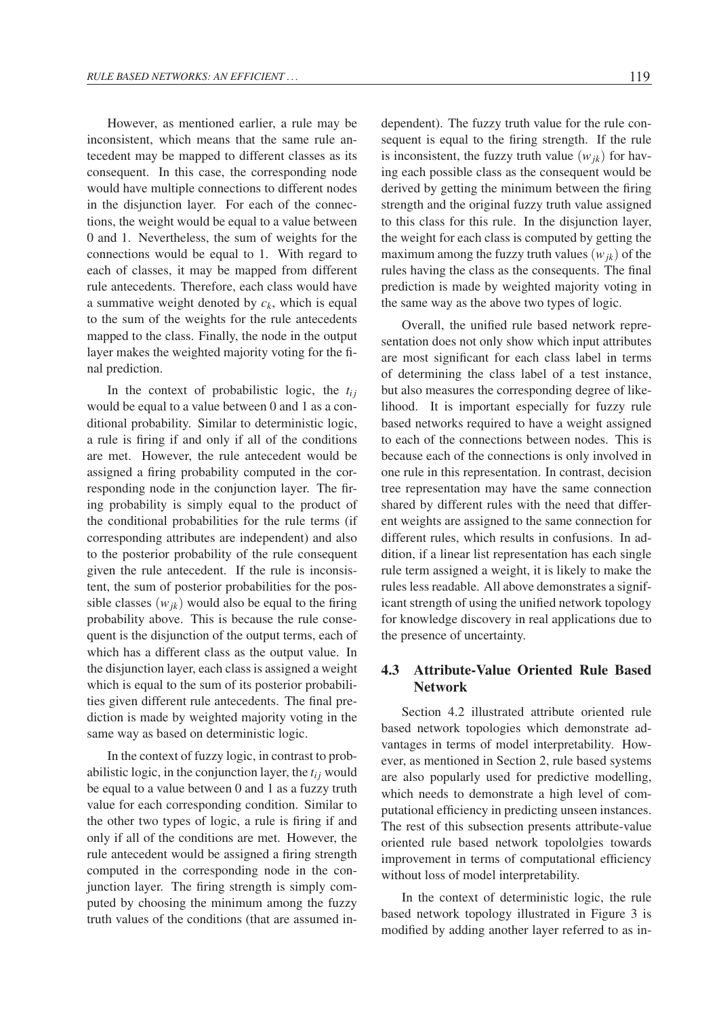However, as mentioned earlier, a rule may be inconsistent, which means that the same rule antecedent may be mapped to different classes as its consequent. In this case, the corresponding node would have multiple connections to different nodes in the disjunction layer. For each of the connections, the weight would be equal to a value between 0 and 1. Nevertheless, the sum of weights for the connections would be equal to 1. With regard to each of classes, it may be mapped from different rule antecedents. Therefore, each class would have a summative weight denoted by  $c_k$ , which is equal to the sum of the weights for the rule antecedents mapped to the class. Finally, the node in the output layer makes the weighted majority voting for the final prediction.

In the context of probabilistic logic, the  $t_{ij}$ would be equal to a value between 0 and 1 as a conditional probability. Similar to deterministic logic, a rule is firing if and only if all of the conditions are met. However, the rule antecedent would be assigned a firing probability computed in the corresponding node in the conjunction layer. The firing probability is simply equal to the product of the conditional probabilities for the rule terms (if corresponding attributes are independent) and also to the posterior probability of the rule consequent given the rule antecedent. If the rule is inconsistent, the sum of posterior probabilities for the possible classes  $(w_{jk})$  would also be equal to the firing probability above. This is because the rule consequent is the disjunction of the output terms, each of which has a different class as the output value. In the disjunction layer, each class is assigned a weight which is equal to the sum of its posterior probabilities given different rule antecedents. The final prediction is made by weighted majority voting in the same way as based on deterministic logic.

In the context of fuzzy logic, in contrast to probabilistic logic, in the conjunction layer, the  $t_{ij}$  would be equal to a value between 0 and 1 as a fuzzy truth value for each corresponding condition. Similar to the other two types of logic, a rule is firing if and only if all of the conditions are met. However, the rule antecedent would be assigned a firing strength computed in the corresponding node in the conjunction layer. The firing strength is simply computed by choosing the minimum among the fuzzy truth values of the conditions (that are assumed independent). The fuzzy truth value for the rule consequent is equal to the firing strength. If the rule is inconsistent, the fuzzy truth value  $(w_{ik})$  for having each possible class as the consequent would be derived by getting the minimum between the firing strength and the original fuzzy truth value assigned to this class for this rule. In the disjunction layer, the weight for each class is computed by getting the maximum among the fuzzy truth values  $(w_{jk})$  of the rules having the class as the consequents. The final prediction is made by weighted majority voting in the same way as the above two types of logic.

Overall, the unified rule based network representation does not only show which input attributes are most significant for each class label in terms of determining the class label of a test instance, but also measures the corresponding degree of likelihood. It is important especially for fuzzy rule based networks required to have a weight assigned to each of the connections between nodes. This is because each of the connections is only involved in one rule in this representation. In contrast, decision tree representation may have the same connection shared by different rules with the need that different weights are assigned to the same connection for different rules, which results in confusions. In addition, if a linear list representation has each single rule term assigned a weight, it is likely to make the rules less readable. All above demonstrates a significant strength of using the unified network topology for knowledge discovery in real applications due to the presence of uncertainty.

### 4.3 Attribute-Value Oriented Rule Based Network

Section 4.2 illustrated attribute oriented rule based network topologies which demonstrate advantages in terms of model interpretability. However, as mentioned in Section 2, rule based systems are also popularly used for predictive modelling, which needs to demonstrate a high level of computational efficiency in predicting unseen instances. The rest of this subsection presents attribute-value oriented rule based network topololgies towards improvement in terms of computational efficiency without loss of model interpretability.

In the context of deterministic logic, the rule based network topology illustrated in Figure 3 is modified by adding another layer referred to as in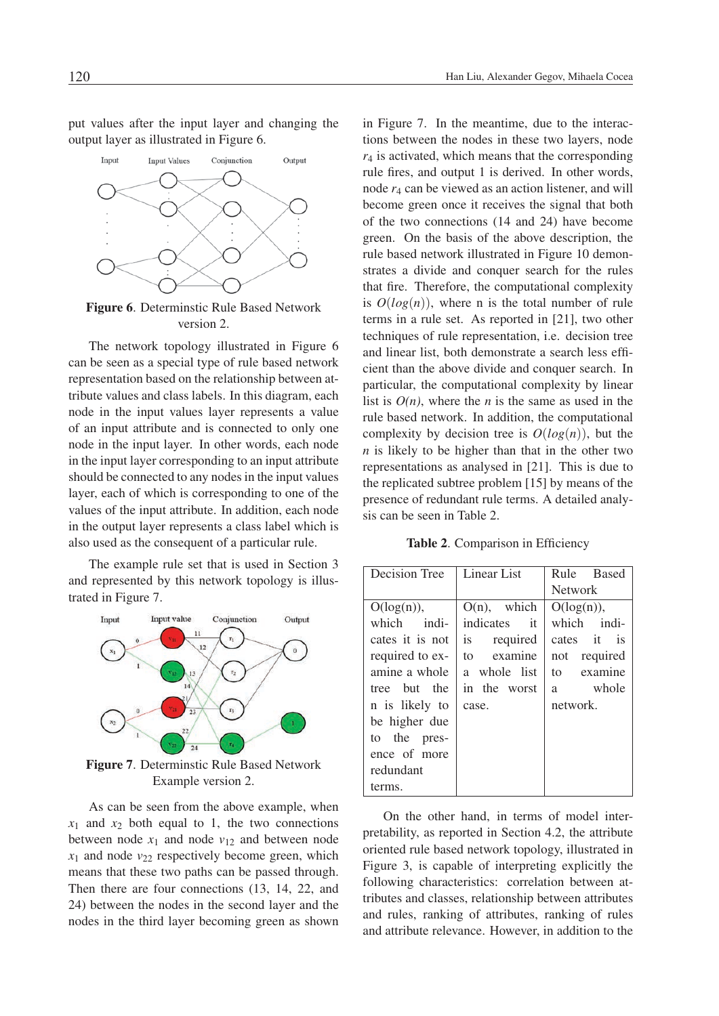put values after the input layer and changing the output layer as illustrated in Figure 6.



Figure 6. Determinstic Rule Based Network version 2.

The network topology illustrated in Figure 6 can be seen as a special type of rule based network representation based on the relationship between attribute values and class labels. In this diagram, each node in the input values layer represents a value of an input attribute and is connected to only one node in the input layer. In other words, each node in the input layer corresponding to an input attribute should be connected to any nodes in the input values layer, each of which is corresponding to one of the values of the input attribute. In addition, each node in the output layer represents a class label which is also used as the consequent of a particular rule.

The example rule set that is used in Section 3 and represented by this network topology is illustrated in Figure 7.



Figure 7. Determinstic Rule Based Network Example version 2.

As can be seen from the above example, when  $x_1$  and  $x_2$  both equal to 1, the two connections between node  $x_1$  and node  $v_{12}$  and between node  $x_1$  and node  $v_{22}$  respectively become green, which means that these two paths can be passed through. Then there are four connections (13, 14, 22, and 24) between the nodes in the second layer and the nodes in the third layer becoming green as shown

in Figure 7. In the meantime, due to the interactions between the nodes in these two layers, node  $r_4$  is activated, which means that the corresponding rule fires, and output 1 is derived. In other words, node *r*<sup>4</sup> can be viewed as an action listener, and will become green once it receives the signal that both of the two connections (14 and 24) have become green. On the basis of the above description, the rule based network illustrated in Figure 10 demonstrates a divide and conquer search for the rules that fire. Therefore, the computational complexity is  $O(log(n))$ , where n is the total number of rule terms in a rule set. As reported in [21], two other techniques of rule representation, i.e. decision tree and linear list, both demonstrate a search less efficient than the above divide and conquer search. In particular, the computational complexity by linear list is  $O(n)$ , where the *n* is the same as used in the rule based network. In addition, the computational complexity by decision tree is  $O(log(n))$ , but the *n* is likely to be higher than that in the other two representations as analysed in [21]. This is due to the replicated subtree problem [15] by means of the presence of redundant rule terms. A detailed analysis can be seen in Table 2.

Table 2. Comparison in Efficiency

| Decision Tree   | Linear List      | Rule Based   |
|-----------------|------------------|--------------|
|                 |                  | Network      |
| O(log(n)),      | $O(n)$ , which   | O(log(n)),   |
| which indi-     | indicates it     | which indi-  |
| cates it is not | is required      | cates it is  |
| required to ex- | examine<br>to to | not required |
| amine a whole   | a whole list     | to examine   |
| tree but the    | in the worst     | a whole      |
| n is likely to  | case.            | network.     |
| be higher due   |                  |              |
| to the pres-    |                  |              |
| ence of more    |                  |              |
| redundant       |                  |              |
| terms.          |                  |              |

On the other hand, in terms of model interpretability, as reported in Section 4.2, the attribute oriented rule based network topology, illustrated in Figure 3, is capable of interpreting explicitly the following characteristics: correlation between attributes and classes, relationship between attributes and rules, ranking of attributes, ranking of rules and attribute relevance. However, in addition to the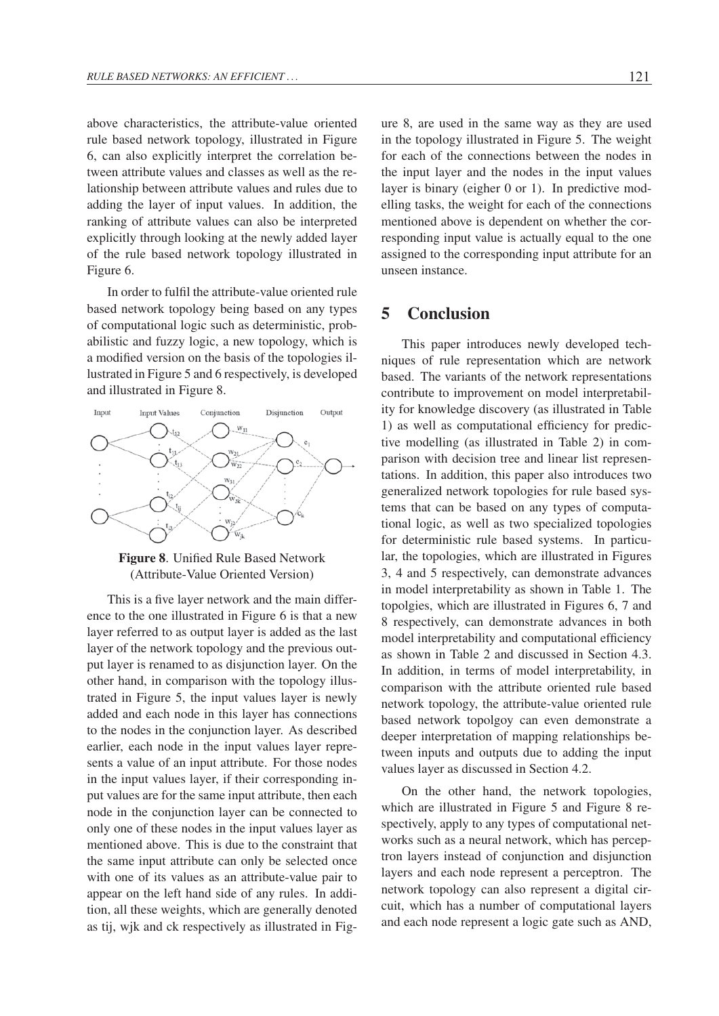above characteristics, the attribute-value oriented rule based network topology, illustrated in Figure 6, can also explicitly interpret the correlation between attribute values and classes as well as the relationship between attribute values and rules due to adding the layer of input values. In addition, the ranking of attribute values can also be interpreted explicitly through looking at the newly added layer of the rule based network topology illustrated in Figure 6.

In order to fulfil the attribute-value oriented rule based network topology being based on any types of computational logic such as deterministic, probabilistic and fuzzy logic, a new topology, which is a modified version on the basis of the topologies illustrated in Figure 5 and 6 respectively, is developed and illustrated in Figure 8.



Figure 8. Unified Rule Based Network (Attribute-Value Oriented Version)

This is a five layer network and the main difference to the one illustrated in Figure 6 is that a new layer referred to as output layer is added as the last layer of the network topology and the previous output layer is renamed to as disjunction layer. On the other hand, in comparison with the topology illustrated in Figure 5, the input values layer is newly added and each node in this layer has connections to the nodes in the conjunction layer. As described earlier, each node in the input values layer represents a value of an input attribute. For those nodes in the input values layer, if their corresponding input values are for the same input attribute, then each node in the conjunction layer can be connected to only one of these nodes in the input values layer as mentioned above. This is due to the constraint that the same input attribute can only be selected once with one of its values as an attribute-value pair to appear on the left hand side of any rules. In addition, all these weights, which are generally denoted as tij, wjk and ck respectively as illustrated in Figure 8, are used in the same way as they are used in the topology illustrated in Figure 5. The weight for each of the connections between the nodes in the input layer and the nodes in the input values layer is binary (eigher 0 or 1). In predictive modelling tasks, the weight for each of the connections mentioned above is dependent on whether the corresponding input value is actually equal to the one assigned to the corresponding input attribute for an unseen instance.

## 5 Conclusion

This paper introduces newly developed techniques of rule representation which are network based. The variants of the network representations contribute to improvement on model interpretability for knowledge discovery (as illustrated in Table 1) as well as computational efficiency for predictive modelling (as illustrated in Table 2) in comparison with decision tree and linear list representations. In addition, this paper also introduces two generalized network topologies for rule based systems that can be based on any types of computational logic, as well as two specialized topologies for deterministic rule based systems. In particular, the topologies, which are illustrated in Figures 3, 4 and 5 respectively, can demonstrate advances in model interpretability as shown in Table 1. The topolgies, which are illustrated in Figures 6, 7 and 8 respectively, can demonstrate advances in both model interpretability and computational efficiency as shown in Table 2 and discussed in Section 4.3. In addition, in terms of model interpretability, in comparison with the attribute oriented rule based network topology, the attribute-value oriented rule based network topolgoy can even demonstrate a deeper interpretation of mapping relationships between inputs and outputs due to adding the input values layer as discussed in Section 4.2.

On the other hand, the network topologies, which are illustrated in Figure 5 and Figure 8 respectively, apply to any types of computational networks such as a neural network, which has perceptron layers instead of conjunction and disjunction layers and each node represent a perceptron. The network topology can also represent a digital circuit, which has a number of computational layers and each node represent a logic gate such as AND,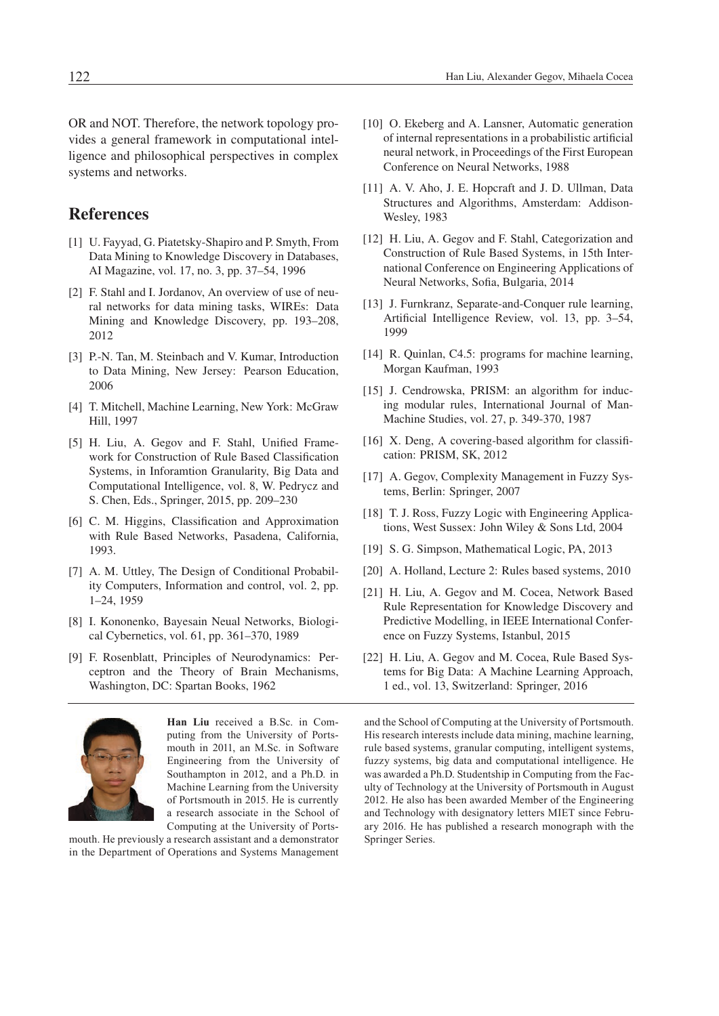OR and NOT. Therefore, the network topology provides a general framework in computational intelligence and philosophical perspectives in complex systems and networks.

### References

- [1] U. Fayyad, G. Piatetsky-Shapiro and P. Smyth, From Data Mining to Knowledge Discovery in Databases, AI Magazine, vol. 17, no. 3, pp. 37–54, 1996
- [2] F. Stahl and I. Jordanov, An overview of use of neural networks for data mining tasks, WIREs: Data Mining and Knowledge Discovery, pp. 193–208, 2012
- [3] P.-N. Tan, M. Steinbach and V. Kumar, Introduction to Data Mining, New Jersey: Pearson Education, 2006
- [4] T. Mitchell, Machine Learning, New York: McGraw Hill, 1997
- [5] H. Liu, A. Gegov and F. Stahl, Unified Framework for Construction of Rule Based Classification Systems, in Inforamtion Granularity, Big Data and Computational Intelligence, vol. 8, W. Pedrycz and S. Chen, Eds., Springer, 2015, pp. 209–230
- [6] C. M. Higgins, Classification and Approximation with Rule Based Networks, Pasadena, California, 1993.
- [7] A. M. Uttley, The Design of Conditional Probability Computers, Information and control, vol. 2, pp. 1–24, 1959
- [8] I. Kononenko, Bayesain Neual Networks, Biological Cybernetics, vol. 61, pp. 361–370, 1989
- [9] F. Rosenblatt, Principles of Neurodynamics: Perceptron and the Theory of Brain Mechanisms, Washington, DC: Spartan Books, 1962



**Han Liu** received a B.Sc. in Computing from the University of Portsmouth in 2011, an M.Sc. in Software Engineering from the University of Southampton in 2012, and a Ph.D. in Machine Learning from the University of Portsmouth in 2015. He is currently a research associate in the School of Computing at the University of Ports-

mouth. He previously a research assistant and a demonstrator in the Department of Operations and Systems Management

- [10] O. Ekeberg and A. Lansner, Automatic generation of internal representations in a probabilistic artificial neural network, in Proceedings of the First European Conference on Neural Networks, 1988
- [11] A. V. Aho, J. E. Hopcraft and J. D. Ullman, Data Structures and Algorithms, Amsterdam: Addison-Wesley, 1983
- [12] H. Liu, A. Gegov and F. Stahl, Categorization and Construction of Rule Based Systems, in 15th International Conference on Engineering Applications of Neural Networks, Sofia, Bulgaria, 2014
- [13] J. Furnkranz, Separate-and-Conquer rule learning, Artificial Intelligence Review, vol. 13, pp. 3–54, 1999
- [14] R. Quinlan, C4.5: programs for machine learning, Morgan Kaufman, 1993
- [15] J. Cendrowska, PRISM: an algorithm for inducing modular rules, International Journal of Man-Machine Studies, vol. 27, p. 349-370, 1987
- [16] X. Deng, A covering-based algorithm for classification: PRISM, SK, 2012
- [17] A. Gegov, Complexity Management in Fuzzy Systems, Berlin: Springer, 2007
- [18] T. J. Ross, Fuzzy Logic with Engineering Applications, West Sussex: John Wiley & Sons Ltd, 2004
- [19] S. G. Simpson, Mathematical Logic, PA, 2013
- [20] A. Holland, Lecture 2: Rules based systems, 2010
- [21] H. Liu, A. Gegov and M. Cocea, Network Based Rule Representation for Knowledge Discovery and Predictive Modelling, in IEEE International Conference on Fuzzy Systems, Istanbul, 2015
- [22] H. Liu, A. Gegov and M. Cocea, Rule Based Systems for Big Data: A Machine Learning Approach, 1 ed., vol. 13, Switzerland: Springer, 2016

and the School of Computing at the University of Portsmouth. His research interests include data mining, machine learning, rule based systems, granular computing, intelligent systems, fuzzy systems, big data and computational intelligence. He was awarded a Ph.D. Studentship in Computing from the Faculty of Technology at the University of Portsmouth in August 2012. He also has been awarded Member of the Engineering and Technology with designatory letters MIET since February 2016. He has published a research monograph with the Springer Series.